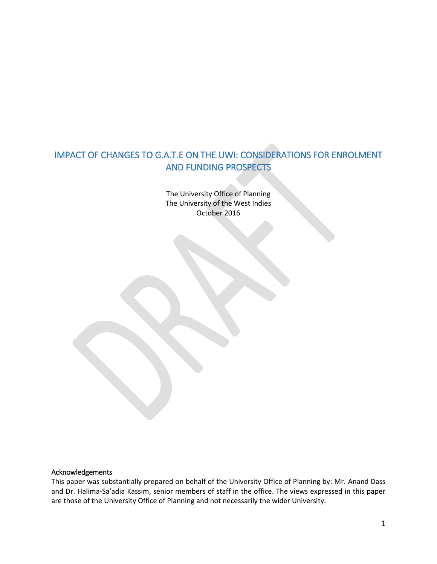# IMPACT OF CHANGES TO G.A.T.E ON THE UWI: CONSIDERATIONS FOR ENROLMENT AND FUNDING PROSPECTS

The University Office of Planning The University of the West Indies October 2016

#### Acknowledgements

This paper was substantially prepared on behalf of the University Office of Planning by: Mr. Anand Dass and Dr. Halima-Sa'adia Kassim, senior members of staff in the office. The views expressed in this paper are those of the University Office of Planning and not necessarily the wider University.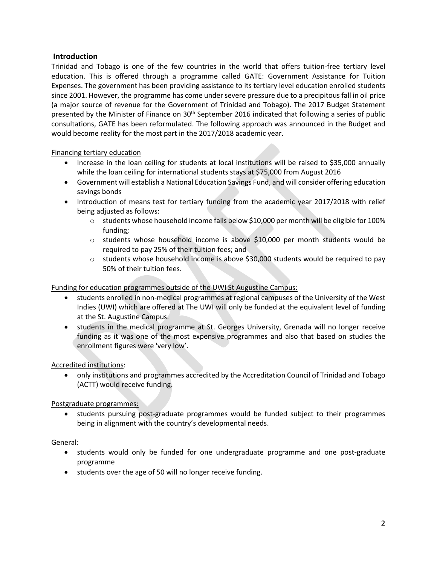## **Introduction**

Trinidad and Tobago is one of the few countries in the world that offers tuition-free tertiary level education. This is offered through a programme called GATE: Government Assistance for Tuition Expenses. The government has been providing assistance to its tertiary level education enrolled students since 2001. However, the programme has come under severe pressure due to a precipitous fall in oil price (a major source of revenue for the Government of Trinidad and Tobago). The 2017 Budget Statement presented by the Minister of Finance on  $30<sup>th</sup>$  September 2016 indicated that following a series of public consultations, GATE has been reformulated. The following approach was announced in the Budget and would become reality for the most part in the 2017/2018 academic year.

### Financing tertiary education

- Increase in the loan ceiling for students at local institutions will be raised to \$35,000 annually while the loan ceiling for international students stays at \$75,000 from August 2016
- Government will establish a National Education Savings Fund, and will consider offering education savings bonds
- Introduction of means test for tertiary funding from the academic year 2017/2018 with relief being adjusted as follows:
	- $\circ$  students whose household income falls below \$10,000 per month will be eligible for 100% funding;
	- $\circ$  students whose household income is above \$10,000 per month students would be required to pay 25% of their tuition fees; and
	- $\circ$  students whose household income is above \$30,000 students would be required to pay 50% of their tuition fees.

## Funding for education programmes outside of the UWI St Augustine Campus:

- students enrolled in non-medical programmes at regional campuses of the University of the West Indies (UWI) which are offered at The UWI will only be funded at the equivalent level of funding at the St. Augustine Campus.
- students in the medical programme at St. Georges University, Grenada will no longer receive funding as it was one of the most expensive programmes and also that based on studies the enrollment figures were 'very low'.

## Accredited institutions:

 only institutions and programmes accredited by the Accreditation Council of Trinidad and Tobago (ACTT) would receive funding.

### Postgraduate programmes:

• students pursuing post-graduate programmes would be funded subject to their programmes being in alignment with the country's developmental needs.

### General:

- students would only be funded for one undergraduate programme and one post-graduate programme
- students over the age of 50 will no longer receive funding.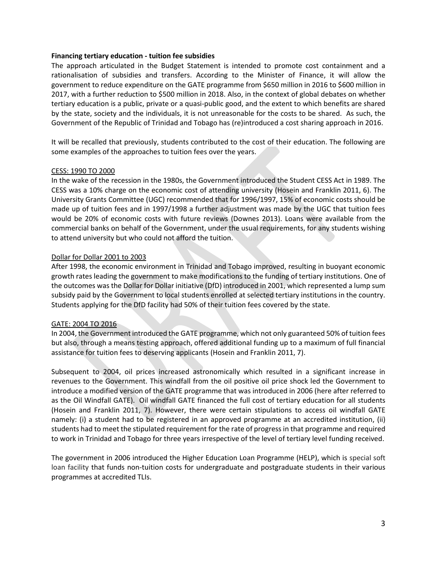#### **Financing tertiary education - tuition fee subsidies**

The approach articulated in the Budget Statement is intended to promote cost containment and a rationalisation of subsidies and transfers. According to the Minister of Finance, it will allow the government to reduce expenditure on the GATE programme from \$650 million in 2016 to \$600 million in 2017, with a further reduction to \$500 million in 2018. Also, in the context of global debates on whether tertiary education is a public, private or a quasi-public good, and the extent to which benefits are shared by the state, society and the individuals, it is not unreasonable for the costs to be shared. As such, the Government of the Republic of Trinidad and Tobago has (re)introduced a cost sharing approach in 2016.

It will be recalled that previously, students contributed to the cost of their education. The following are some examples of the approaches to tuition fees over the years.

### CESS: 1990 TO 2000

In the wake of the recession in the 1980s, the Government introduced the Student CESS Act in 1989. The CESS was a 10% charge on the economic cost of attending university (Hosein and Franklin 2011, 6). The University Grants Committee (UGC) recommended that for 1996/1997, 15% of economic costs should be made up of tuition fees and in 1997/1998 a further adjustment was made by the UGC that tuition fees would be 20% of economic costs with future reviews (Downes 2013). Loans were available from the commercial banks on behalf of the Government, under the usual requirements, for any students wishing to attend university but who could not afford the tuition.

### Dollar for Dollar 2001 to 2003

After 1998, the economic environment in Trinidad and Tobago improved, resulting in buoyant economic growth rates leading the government to make modifications to the funding of tertiary institutions. One of the outcomes was the Dollar for Dollar initiative (DfD) introduced in 2001, which represented a lump sum subsidy paid by the Government to local students enrolled at selected tertiary institutions in the country. Students applying for the DfD facility had 50% of their tuition fees covered by the state.

#### GATE: 2004 TO 2016

In 2004, the Government introduced the GATE programme, which not only guaranteed 50% of tuition fees but also, through a means testing approach, offered additional funding up to a maximum of full financial assistance for tuition fees to deserving applicants (Hosein and Franklin 2011, 7).

Subsequent to 2004, oil prices increased astronomically which resulted in a significant increase in revenues to the Government. This windfall from the oil positive oil price shock led the Government to introduce a modified version of the GATE programme that was introduced in 2006 (here after referred to as the Oil Windfall GATE). Oil windfall GATE financed the full cost of tertiary education for all students (Hosein and Franklin 2011, 7). However, there were certain stipulations to access oil windfall GATE namely: (i) a student had to be registered in an approved programme at an accredited institution, (ii) students had to meet the stipulated requirement for the rate of progress in that programme and required to work in Trinidad and Tobago for three years irrespective of the level of tertiary level funding received.

The government in 2006 introduced the Higher Education Loan Programme (HELP), which is special soft loan facility that funds non-tuition costs for undergraduate and postgraduate students in their various programmes at accredited TLIs.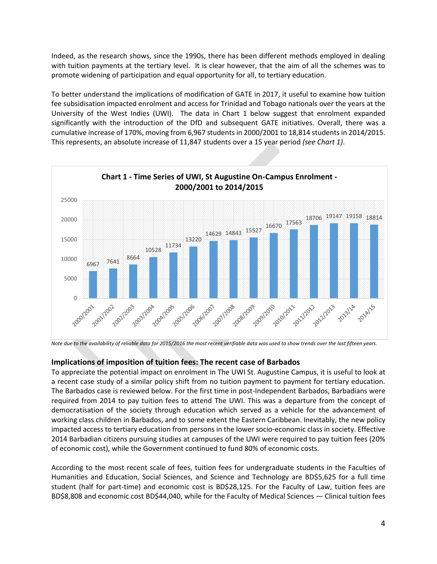Indeed, as the research shows, since the 1990s, there has been different methods employed in dealing with tuition payments at the tertiary level. It is clear however, that the aim of all the schemes was to promote widening of participation and equal opportunity for all, to tertiary education.

To better understand the implications of modification of GATE in 2017, it useful to examine how tuition fee subsidisation impacted enrolment and access for Trinidad and Tobago nationals over the years at the University of the West Indies (UWI). The data in Chart 1 below suggest that enrolment expanded significantly with the introduction of the DfD and subsequent GATE initiatives. Overall, there was a cumulative increase of 170%, moving from 6,967 students in 2000/2001 to 18,814 students in 2014/2015. This represents, an absolute increase of 11,847 students over a 15 year period *(see Chart 1)*.



*Note due to the availability of reliable data for 2015/2016 the most recent verifiable data was used to show trends over the last fifteen years.*

## **Implications of imposition of tuition fees: The recent case of Barbados**

To appreciate the potential impact on enrolment in The UWI St. Augustine Campus, it is useful to look at a recent case study of a similar policy shift from no tuition payment to payment for tertiary education. The Barbados case is reviewed below. For the first time in post-Independent Barbados, Barbadians were required from 2014 to pay tuition fees to attend The UWI. This was a departure from the concept of democratisation of the society through education which served as a vehicle for the advancement of working class children in Barbados, and to some extent the Eastern Caribbean. Inevitably, the new policy impacted access to tertiary education from persons in the lower socio-economic class in society. Effective 2014 Barbadian citizens pursuing studies at campuses of the UWI were required to pay tuition fees (20% of economic cost), while the Government continued to fund 80% of economic costs.

According to the most recent scale of fees, tuition fees for undergraduate students in the Faculties of Humanities and Education, Social Sciences, and Science and Technology are BD\$5,625 for a full time student (half for part-time) and economic cost is BD\$28,125. For the Faculty of Law, tuition fees are BD\$8,808 and economic cost BD\$44,040, while for the Faculty of Medical Sciences — Clinical tuition fees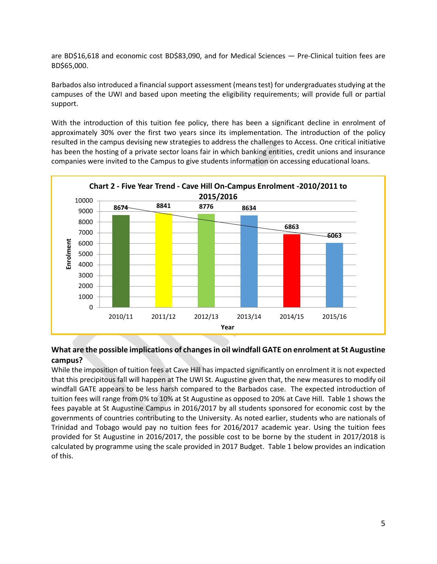are BD\$16,618 and economic cost BD\$83,090, and for Medical Sciences — Pre-Clinical tuition fees are BD\$65,000.

Barbados also introduced a financial support assessment (means test) for undergraduates studying at the campuses of the UWI and based upon meeting the eligibility requirements; will provide full or partial support.

With the introduction of this tuition fee policy, there has been a significant decline in enrolment of approximately 30% over the first two years since its implementation. The introduction of the policy resulted in the campus devising new strategies to address the challenges to Access. One critical initiative has been the hosting of a private sector loans fair in which banking entities, credit unions and insurance companies were invited to the Campus to give students information on accessing educational loans.



## **What are the possible implications of changes in oil windfall GATE on enrolment at St Augustine campus?**

While the imposition of tuition fees at Cave Hill has impacted significantly on enrolment it is not expected that this precipitous fall will happen at The UWI St. Augustine given that, the new measures to modify oil windfall GATE appears to be less harsh compared to the Barbados case. The expected introduction of tuition fees will range from 0% to 10% at St Augustine as opposed to 20% at Cave Hill. Table 1 shows the fees payable at St Augustine Campus in 2016/2017 by all students sponsored for economic cost by the governments of countries contributing to the University. As noted earlier, students who are nationals of Trinidad and Tobago would pay no tuition fees for 2016/2017 academic year. Using the tuition fees provided for St Augustine in 2016/2017, the possible cost to be borne by the student in 2017/2018 is calculated by programme using the scale provided in 2017 Budget. Table 1 below provides an indication of this.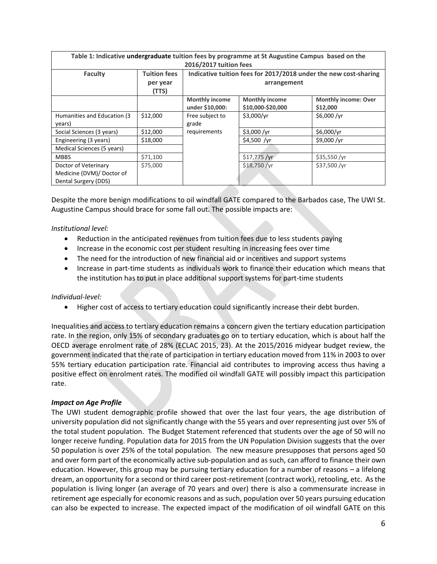| Table 1: Indicative undergraduate tuition fees by programme at St Augustine Campus based on the<br>2016/2017 tuition fees |                                 |                                                                                 |                                            |                                         |
|---------------------------------------------------------------------------------------------------------------------------|---------------------------------|---------------------------------------------------------------------------------|--------------------------------------------|-----------------------------------------|
| Faculty                                                                                                                   | <b>Tuition fees</b><br>per year | Indicative tuition fees for 2017/2018 under the new cost-sharing<br>arrangement |                                            |                                         |
|                                                                                                                           | (TTS)                           |                                                                                 |                                            |                                         |
|                                                                                                                           |                                 | <b>Monthly income</b><br>under \$10,000:                                        | <b>Monthly income</b><br>\$10,000-\$20,000 | <b>Monthly income: Over</b><br>\$12,000 |
| Humanities and Education (3)<br>years)                                                                                    | \$12,000                        | Free subject to<br>grade                                                        | \$3,000/yr                                 | \$6,000 /yr                             |
| Social Sciences (3 years)                                                                                                 | \$12,000                        | requirements                                                                    | \$3,000 / $vr$                             | \$6,000/vr                              |
| Engineering (3 years)                                                                                                     | \$18,000                        |                                                                                 | \$4,500 / $vr$                             | \$9,000 /vr                             |
| Medical Sciences (5 years)                                                                                                |                                 |                                                                                 |                                            |                                         |
| <b>MBBS</b>                                                                                                               | \$71,100                        |                                                                                 | $$17,775$ /yr                              | $$35,550$ /yr                           |
| Doctor of Veterinary<br>Medicine (DVM)/ Doctor of<br>Dental Surgery (DDS)                                                 | \$75,000                        |                                                                                 | \$18,750 /yr                               | \$37,500/yr                             |

Despite the more benign modifications to oil windfall GATE compared to the Barbados case, The UWI St. Augustine Campus should brace for some fall out. The possible impacts are:

*Institutional level:* 

- Reduction in the anticipated revenues from tuition fees due to less students paying
- Increase in the economic cost per student resulting in increasing fees over time
- The need for the introduction of new financial aid or incentives and support systems
- Increase in part-time students as individuals work to finance their education which means that the institution has to put in place additional support systems for part-time students

### *Individual-level:*

Higher cost of access to tertiary education could significantly increase their debt burden.

Inequalities and access to tertiary education remains a concern given the tertiary education participation rate. In the region, only 15% of secondary graduates go on to tertiary education, which is about half the OECD average enrolment rate of 28% (ECLAC 2015, 23). At the 2015/2016 midyear budget review, the government indicated that the rate of participation in tertiary education moved from 11% in 2003 to over 55% tertiary education participation rate. Financial aid contributes to improving access thus having a positive effect on enrolment rates. The modified oil windfall GATE will possibly impact this participation rate.

### *Impact on Age Profile*

The UWI student demographic profile showed that over the last four years, the age distribution of university population did not significantly change with the 55 years and over representing just over 5% of the total student population. The Budget Statement referenced that students over the age of 50 will no longer receive funding. Population data for 2015 from the UN Population Division suggests that the over 50 population is over 25% of the total population. The new measure presupposes that persons aged 50 and over form part of the economically active sub-population and as such, can afford to finance their own education. However, this group may be pursuing tertiary education for a number of reasons – a lifelong dream, an opportunity for a second or third career post-retirement (contract work), retooling, etc. As the population is living longer (an average of 70 years and over) there is also a commensurate increase in retirement age especially for economic reasons and as such, population over 50 years pursuing education can also be expected to increase. The expected impact of the modification of oil windfall GATE on this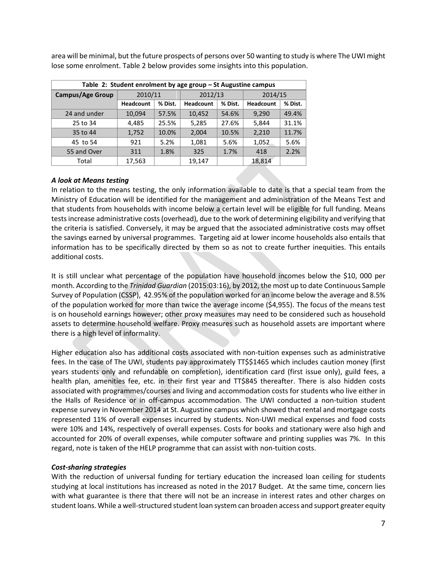**Table 2: Student enrolment by age group – St Augustine campus Campus/Age Group** 2010/11 2012/13 2014/15 **Headcount % Dist. Headcount % Dist. Headcount % Dist.** 24 and under 10,094 57.5% 10,452 54.6% 9,290 49.4% 25 to 34 | 4,485 | 25.5% | 5,285 | 27.6% | 5,844 | 31.1% 35 to 44 1,752 10.0% 2,004 10.5% 2,210 11.7% 45 to 54 921 5.2% 1,081 5.6% 1,052 5.6% 55 and Over 311 1.8% 325 1.7% 418 2.2% Total 17,563 19,147 18,814

area will be minimal, but the future prospects of persons over 50 wanting to study is where The UWI might lose some enrolment. Table 2 below provides some insights into this population.

## *A look at Means testing*

In relation to the means testing, the only information available to date is that a special team from the Ministry of Education will be identified for the management and administration of the Means Test and that students from households with income below a certain level will be eligible for full funding. Means tests increase administrative costs (overhead), due to the work of determining eligibility and verifying that the criteria is satisfied. Conversely, it may be argued that the associated administrative costs may offset the savings earned by universal programmes. Targeting aid at lower income households also entails that information has to be specifically directed by them so as not to create further inequities. This entails additional costs.

It is still unclear what percentage of the population have household incomes below the \$10, 000 per month. According to the *Trinidad Guardian* (2015:03:16), by 2012, the most up to date Continuous Sample Survey of Population (CSSP), 42.95% of the population worked for an income below the average and 8.5% of the population worked for more than twice the average income (\$4,955). The focus of the means test is on household earnings however; other proxy measures may need to be considered such as household assets to determine household welfare. Proxy measures such as household assets are important where there is a high level of informality.

Higher education also has additional costs associated with non-tuition expenses such as administrative fees. In the case of The UWI, students pay approximately TT\$\$1465 which includes caution money (first years students only and refundable on completion), identification card (first issue only), guild fees, a health plan, amenities fee, etc. in their first year and TT\$845 thereafter. There is also hidden costs associated with programmes/courses and living and accommodation costs for students who live either in the Halls of Residence or in off-campus accommodation. The UWI conducted a non-tuition student expense survey in November 2014 at St. Augustine campus which showed that rental and mortgage costs represented 11% of overall expenses incurred by students. Non-UWI medical expenses and food costs were 10% and 14%, respectively of overall expenses. Costs for books and stationary were also high and accounted for 20% of overall expenses, while computer software and printing supplies was 7%. In this regard, note is taken of the HELP programme that can assist with non-tuition costs.

### *Cost-sharing strategies*

With the reduction of universal funding for tertiary education the increased loan ceiling for students studying at local institutions has increased as noted in the 2017 Budget. At the same time, concern lies with what guarantee is there that there will not be an increase in interest rates and other charges on student loans. While a well-structured student loan system can broaden access and support greater equity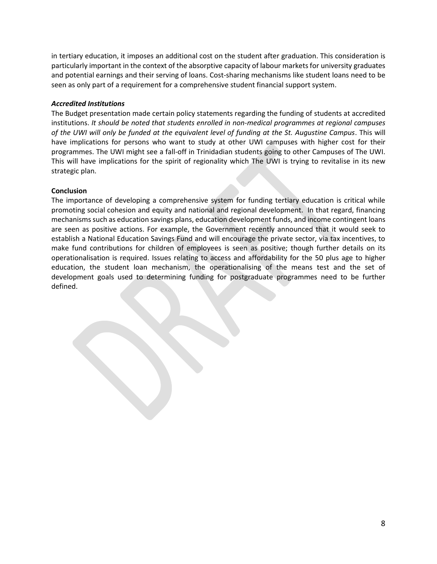in tertiary education, it imposes an additional cost on the student after graduation. This consideration is particularly important in the context of the absorptive capacity of labour markets for university graduates and potential earnings and their serving of loans. Cost-sharing mechanisms like student loans need to be seen as only part of a requirement for a comprehensive student financial support system.

### *Accredited Institutions*

The Budget presentation made certain policy statements regarding the funding of students at accredited institutions. *It should be noted that students enrolled in non-medical programmes at regional campuses of the UWI will only be funded at the equivalent level of funding at the St. Augustine Campus*. This will have implications for persons who want to study at other UWI campuses with higher cost for their programmes. The UWI might see a fall-off in Trinidadian students going to other Campuses of The UWI. This will have implications for the spirit of regionality which The UWI is trying to revitalise in its new strategic plan.

### **Conclusion**

The importance of developing a comprehensive system for funding tertiary education is critical while promoting social cohesion and equity and national and regional development. In that regard, financing mechanisms such as education savings plans, education development funds, and income contingent loans are seen as positive actions. For example, the Government recently announced that it would seek to establish a National Education Savings Fund and will encourage the private sector, via tax incentives, to make fund contributions for children of employees is seen as positive; though further details on its operationalisation is required. Issues relating to access and affordability for the 50 plus age to higher education, the student loan mechanism, the operationalising of the means test and the set of development goals used to determining funding for postgraduate programmes need to be further defined.